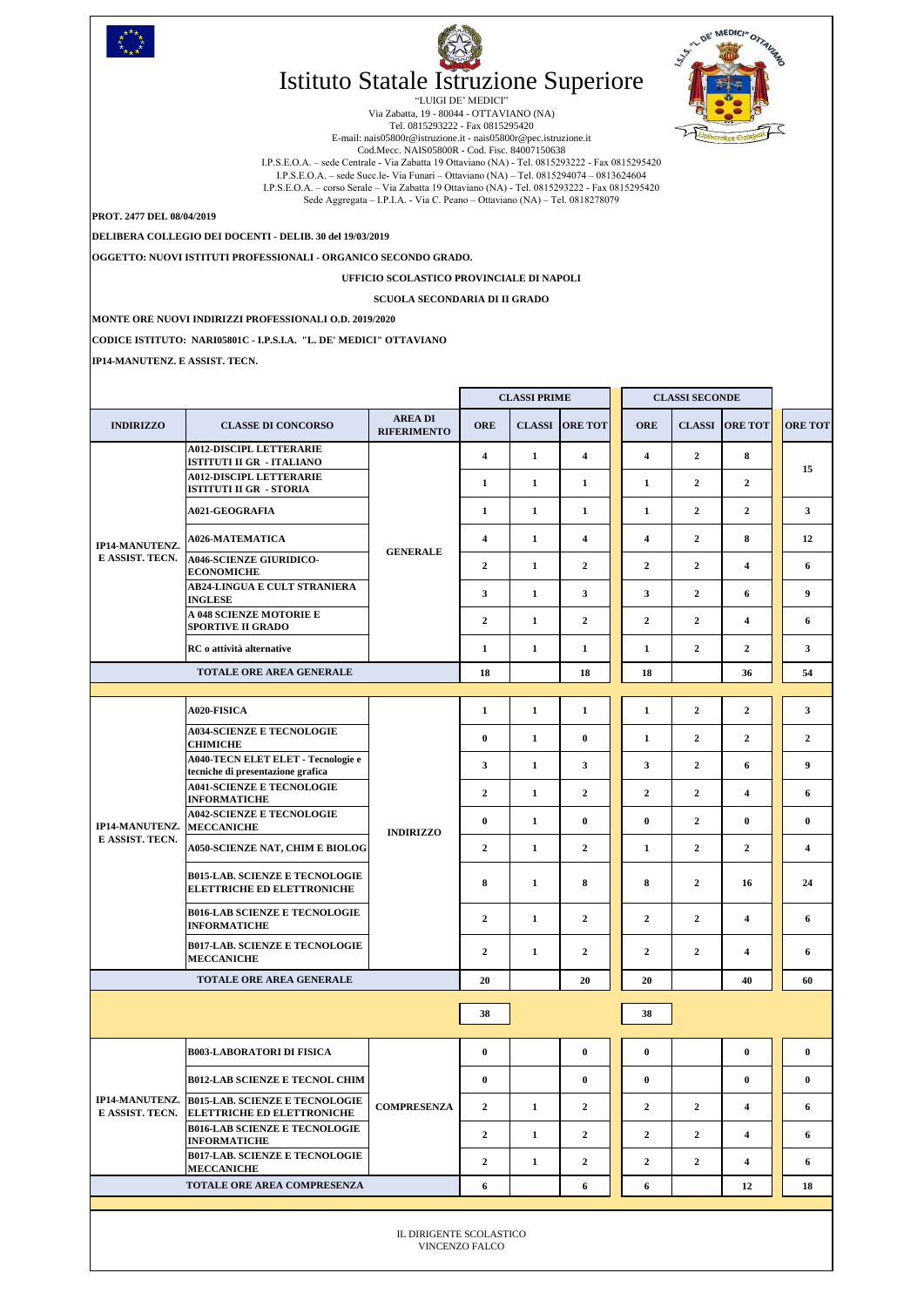|                                              |                                                                                    |                                      | <b>CLASSI PRIME</b>         |              | <b>CLASSI SECONDE</b>   |                |                |                       |                         |  |  |
|----------------------------------------------|------------------------------------------------------------------------------------|--------------------------------------|-----------------------------|--------------|-------------------------|----------------|----------------|-----------------------|-------------------------|--|--|
| <b>INDIRIZZO</b>                             | <b>CLASSE DI CONCORSO</b>                                                          | <b>AREA DI</b><br><b>RIFERIMENTO</b> | <b>ORE</b><br><b>CLASSI</b> |              | <b>ORE TOT</b>          | <b>ORE</b>     |                | <b>CLASSI ORE TOT</b> | <b>ORE TOT</b>          |  |  |
| IP14-MANUTENZ.<br>E ASSIST. TECN.            | <b>A012-DISCIPL LETTERARIE</b><br><b>ISTITUTI II GR - ITALIANO</b>                 |                                      | $\overline{\mathbf{4}}$     | 1            | $\overline{\mathbf{4}}$ | 4              | $\overline{2}$ | 8                     |                         |  |  |
|                                              | <b>A012-DISCIPL LETTERARIE</b><br><b>ISTITUTI II GR - STORIA</b>                   |                                      | 1                           | $\mathbf{1}$ | $\mathbf{1}$            | 1              | $\mathbf{2}$   | $\overline{2}$        | 15                      |  |  |
|                                              | <b>A021-GEOGRAFIA</b>                                                              |                                      | 1                           | 1            | 1                       | 1              | $\overline{2}$ | $\overline{2}$        | 3 <sup>1</sup>          |  |  |
|                                              | <b>A026-MATEMATICA</b>                                                             |                                      | 4                           | 1            | $\overline{\mathbf{4}}$ | 4              | $\overline{2}$ | 8                     | 12                      |  |  |
|                                              | <b>A046-SCIENZE GIURIDICO-</b><br><b>ECONOMICHE</b>                                | <b>GENERALE</b>                      | $\overline{2}$              | $\mathbf{1}$ | $\overline{2}$          | $\overline{2}$ | $\overline{2}$ | 6                     |                         |  |  |
|                                              | <b>AB24-LINGUA E CULT STRANIERA</b><br><b>INGLESE</b>                              |                                      | 3 <sup>1</sup>              | 1            | $\mathbf{3}$            | $\mathbf{3}$   | $\overline{2}$ | 6                     | 9 <sup>1</sup>          |  |  |
|                                              | A 048 SCIENZE MOTORIE E<br><b>SPORTIVE II GRADO</b>                                |                                      | $\overline{2}$              | $\mathbf{1}$ | $\overline{2}$          | $\overline{2}$ | $\overline{2}$ | 4                     | 6                       |  |  |
|                                              | RC o attività alternative                                                          |                                      | 1                           | 1            | 1                       | 1              | $\overline{2}$ | $\mathbf{2}$          | 3                       |  |  |
|                                              | <b>TOTALE ORE AREA GENERALE</b>                                                    |                                      | 18                          |              | 18                      | <b>18</b>      |                | 36                    | 54                      |  |  |
|                                              |                                                                                    |                                      |                             |              |                         |                |                |                       |                         |  |  |
| IP14-MANUTENZ. MECCANICHE<br>E ASSIST. TECN. | A020-FISICA                                                                        |                                      | 1                           | $\mathbf{1}$ | 1                       | 1              | $\overline{2}$ | $\overline{2}$        | 3 <sup>1</sup>          |  |  |
|                                              | <b>A034-SCIENZE E TECNOLOGIE</b><br><b>CHIMICHE</b>                                |                                      | $\bf{0}$                    | $\mathbf{1}$ | $\bf{0}$                | 1              | $\overline{2}$ | $\overline{2}$        | $\overline{2}$          |  |  |
|                                              | A040-TECN ELET ELET - Tecnologie e<br>tecniche di presentazione grafica            |                                      | 3 <sup>1</sup>              | 1            | 3 <sup>1</sup>          | $\mathbf{3}$   | $\overline{2}$ | 6                     | 9 <sup>1</sup>          |  |  |
|                                              | <b>A041-SCIENZE E TECNOLOGIE</b><br><b>INFORMATICHE</b>                            |                                      | $\overline{2}$              | 1            | $\overline{2}$          | $\overline{2}$ | $\overline{2}$ | 4                     | 6                       |  |  |
|                                              | <b>A042-SCIENZE E TECNOLOGIE</b>                                                   | <b>INDIRIZZO</b>                     | $\bf{0}$                    | 1            | $\mathbf{0}$            | $\bf{0}$       | $\overline{2}$ | $\mathbf{0}$          | $\bf{0}$                |  |  |
|                                              | <b>A050-SCIENZE NAT, CHIM E BIOLOG</b>                                             |                                      | $\overline{2}$              | 1            | $\overline{2}$          | 1              | $\overline{2}$ | $\overline{2}$        | $\overline{\mathbf{4}}$ |  |  |
|                                              | <b>B015-LAB. SCIENZE E TECNOLOGIE</b><br><b>ELETTRICHE ED ELETTRONICHE</b>         |                                      | 8                           | 1            | 8                       | 8              | $\overline{2}$ | 16                    | 24                      |  |  |
|                                              | <b>B016-LAB SCIENZE E TECNOLOGIE</b><br><b>INFORMATICHE</b>                        |                                      | $\overline{2}$              | $\mathbf{1}$ | $\overline{2}$          | $\overline{2}$ | $\overline{2}$ | 4                     | 6                       |  |  |
|                                              | <b>B017-LAB. SCIENZE E TECNOLOGIE</b><br><b>MECCANICHE</b>                         |                                      | $\overline{2}$              | 1            | $\overline{2}$          | $\mathbf{2}$   | $\overline{2}$ | 4                     | 6                       |  |  |
|                                              | TOTALE ORE AREA GENERALE                                                           |                                      | 20                          |              | 20                      | 20             |                | 40                    | 60                      |  |  |
|                                              |                                                                                    |                                      | 38                          |              |                         | 38             |                |                       |                         |  |  |
| E ASSIST. TECN.                              | <b>B003-LABORATORI DI FISICA</b>                                                   |                                      | $\bf{0}$                    |              | $\bf{0}$                | $\bf{0}$       |                | $\bf{0}$              | $\mathbf{0}$            |  |  |
|                                              | <b>B012-LAB SCIENZE E TECNOL CHIM</b>                                              |                                      | $\bf{0}$                    |              | $\bf{0}$                | $\bf{0}$       |                | $\bf{0}$              | $\mathbf{0}$            |  |  |
|                                              | IP14-MANUTENZ. B015-LAB. SCIENZE E TECNOLOGIE<br><b>ELETTRICHE ED ELETTRONICHE</b> | <b>COMPRESENZA</b>                   | $\overline{2}$              | 1            | $\overline{2}$          | $\overline{2}$ | $\overline{2}$ | 4                     | 6                       |  |  |
|                                              | <b>B016-LAB SCIENZE E TECNOLOGIE</b><br><b>INFORMATICHE</b>                        |                                      | $\overline{2}$              | $\mathbf{1}$ | $\overline{2}$          | $\overline{2}$ | $\overline{2}$ | 4                     | 6                       |  |  |
|                                              | <b>B017-LAB. SCIENZE E TECNOLOGIE</b><br><b>MECCANICHE</b>                         |                                      | $\mathbf{2}$                | $\mathbf{1}$ | $\mathbf{2}$            | $\overline{2}$ | $\overline{2}$ | 4                     | 6                       |  |  |
|                                              | TOTALE ORE AREA COMPRESENZA                                                        |                                      | 6                           |              | 6                       | 6              |                | 12                    | 18                      |  |  |
|                                              |                                                                                    |                                      |                             |              |                         |                |                |                       |                         |  |  |
| IL DIRIGENTE SCOLASTICO<br>VINCENZO FALCO    |                                                                                    |                                      |                             |              |                         |                |                |                       |                         |  |  |

**CODICE ISTITUTO: NARI05801C - I.P.S.I.A. "L. DE' MEDICI" OTTAVIANO**

**IP14-MANUTENZ. E ASSIST. TECN.** 





## Istituto Statale Istruzione Superiore

DE' MEDICI" OTTAURE

1.515

"LUIGI DE' MEDICI" Via Zabatta, 19 - 80044 - OTTAVIANO (NA) Tel. 0815293222 - Fax 0815295420 E-mail: nais05800r@istruzione.it - nais05800r@pec.istruzione.it Cod.Mecc. NAIS05800R - Cod. Fisc. 84007150638 I.P.S.E.O.A. – sede Centrale - Via Zabatta 19 Ottaviano (NA) - Tel. 0815293222 - Fax 0815295420 I.P.S.E.O.A. – sede Succ.le- Via Funari – Ottaviano (NA) – Tel. 0815294074 – 0813624604 I.P.S.E.O.A. – corso Serale – Via Zabatta 19 Ottaviano (NA) - Tel. 0815293222 - Fax 0815295420 Sede Aggregata – I.P.I.A. - Via C. Peano – Ottaviano (NA) – Tel. 0818278079

**PROT. 2477 DEL 08/04/2019**

**OGGETTO: NUOVI ISTITUTI PROFESSIONALI - ORGANICO SECONDO GRADO.** 

## **UFFICIO SCOLASTICO PROVINCIALE DI NAPOLI**

## **SCUOLA SECONDARIA DI II GRADO**

**DELIBERA COLLEGIO DEI DOCENTI - DELIB. 30 del 19/03/2019**

**MONTE ORE NUOVI INDIRIZZI PROFESSIONALI O.D. 2019/2020**